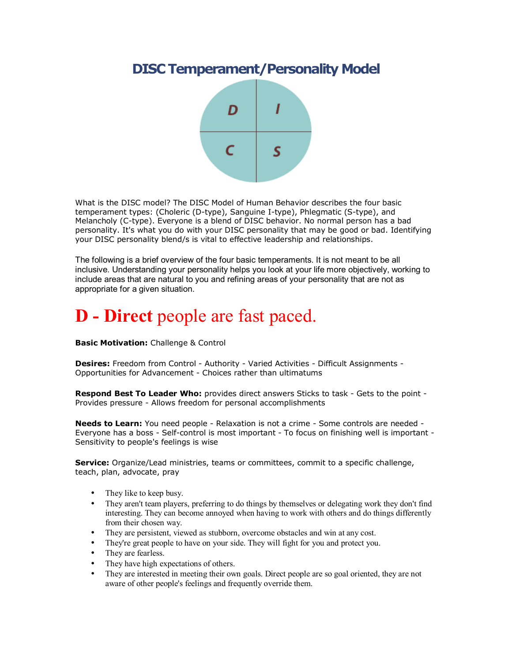### **DISC Temperament/Personality Model**



What is the DISC model? The DISC Model of Human Behavior describes the four basic temperament types: (Choleric (D-type), Sanguine I-type), Phlegmatic (S-type), and Melancholy (C-type). Everyone is a blend of DISC behavior. No normal person has a bad personality. It's what you do with your DISC personality that may be good or bad. Identifying your DISC personality blend/s is vital to effective leadership and relationships.

The following is a brief overview of the four basic temperaments. It is not meant to be all inclusive. Understanding your personality helps you look at your life more objectively, working to include areas that are natural to you and refining areas of your personality that are not as appropriate for a given situation.

## **D - Direct** people are fast paced.

**Basic Motivation:** Challenge & Control

**Desires:** Freedom from Control - Authority - Varied Activities - Difficult Assignments - Opportunities for Advancement - Choices rather than ultimatums

**Respond Best To Leader Who:** provides direct answers Sticks to task - Gets to the point - Provides pressure - Allows freedom for personal accomplishments

**Needs to Learn:** You need people - Relaxation is not a crime - Some controls are needed - Everyone has a boss - Self-control is most important - To focus on finishing well is important - Sensitivity to people's feelings is wise

**Service:** Organize/Lead ministries, teams or committees, commit to a specific challenge, teach, plan, advocate, pray

- They like to keep busy.
- They aren't team players, preferring to do things by themselves or delegating work they don't find interesting. They can become annoyed when having to work with others and do things differently from their chosen way.
- They are persistent, viewed as stubborn, overcome obstacles and win at any cost.
- They're great people to have on your side. They will fight for you and protect you.
- They are fearless.
- They have high expectations of others.
- They are interested in meeting their own goals. Direct people are so goal oriented, they are not aware of other people's feelings and frequently override them.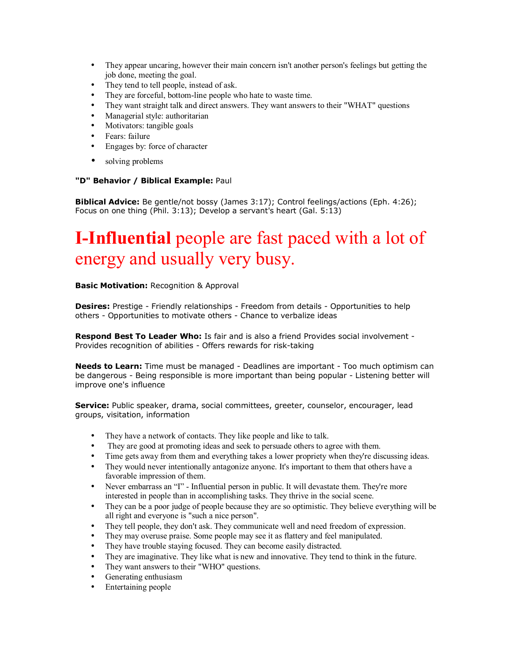- They appear uncaring, however their main concern isn't another person's feelings but getting the job done, meeting the goal.
- They tend to tell people, instead of ask.
- They are forceful, bottom-line people who hate to waste time.
- They want straight talk and direct answers. They want answers to their "WHAT" questions
- Managerial style: authoritarian
- Motivators: tangible goals
- Fears: failure
- Engages by: force of character
- solving problems

### **"D" Behavior / Biblical Example:** Paul

**Biblical Advice:** Be gentle/not bossy (James 3:17); Control feelings/actions (Eph. 4:26); Focus on one thing (Phil. 3:13); Develop a servant's heart (Gal. 5:13)

# **I-Influential** people are fast paced with a lot of energy and usually very busy.

### **Basic Motivation:** Recognition & Approval

**Desires:** Prestige - Friendly relationships - Freedom from details - Opportunities to help others - Opportunities to motivate others - Chance to verbalize ideas

**Respond Best To Leader Who:** Is fair and is also a friend Provides social involvement - Provides recognition of abilities - Offers rewards for risk-taking

**Needs to Learn:** Time must be managed - Deadlines are important - Too much optimism can be dangerous - Being responsible is more important than being popular - Listening better will improve one's influence

**Service:** Public speaker, drama, social committees, greeter, counselor, encourager, lead groups, visitation, information

- They have a network of contacts. They like people and like to talk.
- They are good at promoting ideas and seek to persuade others to agree with them.
- Time gets away from them and everything takes a lower propriety when they're discussing ideas.
- They would never intentionally antagonize anyone. It's important to them that others have a favorable impression of them.
- Never embarrass an "I" Influential person in public. It will devastate them. They're more interested in people than in accomplishing tasks. They thrive in the social scene.
- They can be a poor judge of people because they are so optimistic. They believe everything will be all right and everyone is "such a nice person".
- They tell people, they don't ask. They communicate well and need freedom of expression.
- They may overuse praise. Some people may see it as flattery and feel manipulated.
- They have trouble staying focused. They can become easily distracted.
- They are imaginative. They like what is new and innovative. They tend to think in the future.
- They want answers to their "WHO" questions.
- Generating enthusiasm
- Entertaining people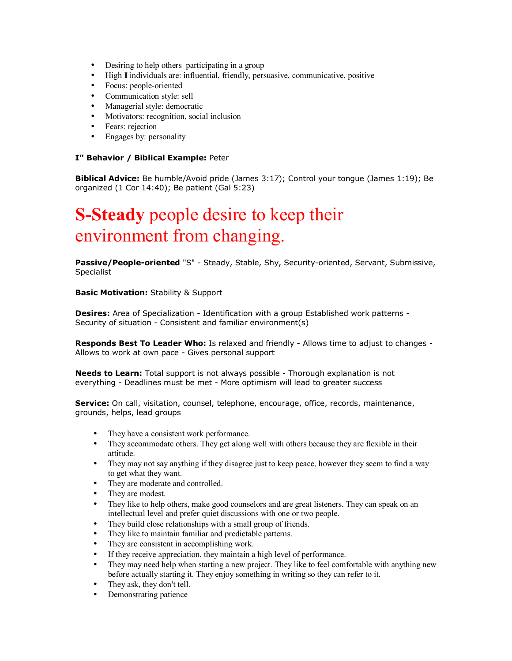- Desiring to help others participating in a group
- High **I** individuals are: influential, friendly, persuasive, communicative, positive
- Focus: people-oriented
- Communication style: sell
- Managerial style: democratic
- Motivators: recognition, social inclusion
- Fears: rejection
- Engages by: personality

### **I" Behavior / Biblical Example:** Peter

**Biblical Advice:** Be humble/Avoid pride (James 3:17); Control your tongue (James 1:19); Be organized (1 Cor 14:40); Be patient (Gal 5:23)

### **S-Steady** people desire to keep their environment from changing.

**Passive/People-oriented** "S" - Steady, Stable, Shy, Security-oriented, Servant, Submissive, Specialist

**Basic Motivation:** Stability & Support

**Desires:** Area of Specialization - Identification with a group Established work patterns - Security of situation - Consistent and familiar environment(s)

**Responds Best To Leader Who:** Is relaxed and friendly - Allows time to adjust to changes - Allows to work at own pace - Gives personal support

**Needs to Learn:** Total support is not always possible - Thorough explanation is not everything - Deadlines must be met - More optimism will lead to greater success

**Service:** On call, visitation, counsel, telephone, encourage, office, records, maintenance, grounds, helps, lead groups

- They have a consistent work performance.
- They accommodate others. They get along well with others because they are flexible in their attitude.
- They may not say anything if they disagree just to keep peace, however they seem to find a way to get what they want.
- They are moderate and controlled.
- They are modest.
- They like to help others, make good counselors and are great listeners. They can speak on an intellectual level and prefer quiet discussions with one or two people.
- They build close relationships with a small group of friends.
- They like to maintain familiar and predictable patterns.
- They are consistent in accomplishing work.
- If they receive appreciation, they maintain a high level of performance.
- They may need help when starting a new project. They like to feel comfortable with anything new before actually starting it. They enjoy something in writing so they can refer to it.
- They ask, they don't tell.
- Demonstrating patience